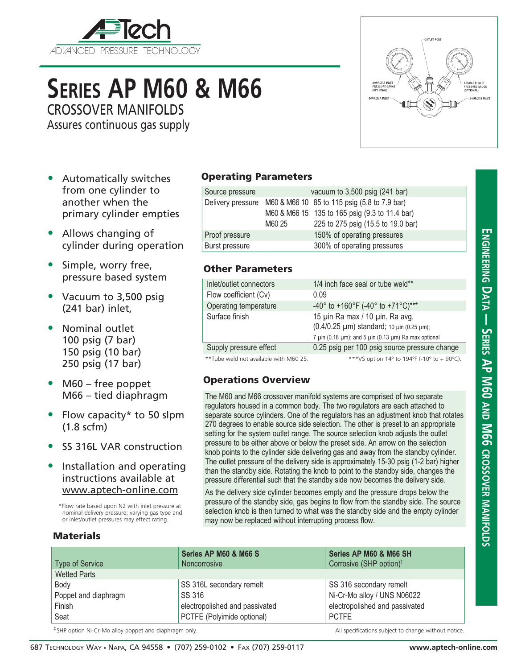

# **Series AP M60 & M66**

CROSSOVER MANIFOLDS

Assures continuous gas supply

- Automatically switches from one cylinder to another when the primary cylinder empties
- Allows changing of cylinder during operation
- Simple, worry free, pressure based system
- Vacuum to 3,500 psig (241 bar) inlet,
- Nominal outlet 100 psig (7 bar) 150 psig (10 bar) 250 psig (17 bar)
- M60 free poppet M66 – tied diaphragm
- Flow capacity\* to 50 slpm (1.8 scfm)
- SS 316L VAR construction
- Installation and operating instructions available at www.aptech-online.com

\*Flow rate based upon N2 with inlet pressure at nominal delivery pressure; varying gas type and or inlet/outlet pressures may effect rating.

## **Materials**

### Operating Parameters

|        | vacuum to $3,500$ psig (241 bar)               |
|--------|------------------------------------------------|
|        | M60 & M66 10 85 to 115 psig (5.8 to 7.9 bar)   |
|        | M60 & M66 15 135 to 165 psig (9.3 to 11.4 bar) |
| M60 25 | 225 to 275 psig (15.5 to 19.0 bar)             |
|        | 150% of operating pressures                    |
|        | 300% of operating pressures                    |
|        |                                                |

#### Other Parameters

| Inlet/outlet connectors | 1/4 inch face seal or tube weld**                                            |
|-------------------------|------------------------------------------------------------------------------|
| Flow coefficient (Cv)   | 0.09                                                                         |
| Operating temperature   | -40° to +160°F (-40° to +71°C)***                                            |
| Surface finish          | 15 µin Ra max / 10 µin. Ra avg.<br>(0.4/0.25 µm) standard; 10 µin (0.25 µm); |
|                         | 7 µin (0.18 µm); and 5 µin (0.13 µm) Ra max optional                         |
| Supply pressure effect  | 0.25 psig per 100 psig source pressure change                                |

\*\*Tube weld not available with M60 25. \*\*\*VS option 14° to 194°F (-10° to + 90°C).

SOURCE A INLET

#### Operations Overview

The M60 and M66 crossover manifold systems are comprised of two separate regulators housed in a common body. The two regulators are each attached to separate source cylinders. One of the regulators has an adjustment knob that rotates 270 degrees to enable source side selection. The other is preset to an appropriate setting for the system outlet range. The source selection knob adjusts the outlet pressure to be either above or below the preset side. An arrow on the selection knob points to the cylinder side delivering gas and away from the standby cylinder. The outlet pressure of the delivery side is approximately 15-30 psig (1-2 bar) higher than the standby side. Rotating the knob to point to the standby side, changes the pressure differential such that the standby side now becomes the delivery side.

As the delivery side cylinder becomes empty and the pressure drops below the pressure of the standby side, gas begins to flow from the standby side. The source selection knob is then turned to what was the standby side and the empty cylinder may now be replaced without interrupting process flow.

|                             | Series AP M60 & M66 S          | Series AP M60 & M66 SH              |
|-----------------------------|--------------------------------|-------------------------------------|
| Type of Service             | <b>Noncorrosive</b>            | Corrosive (SHP option) <sup>#</sup> |
| <b>Wetted Parts</b>         |                                |                                     |
| Body                        | SS 316L secondary remelt       | SS 316 secondary remelt             |
| Poppet and diaphragm        | <b>SS 316</b>                  | Ni-Cr-Mo alloy / UNS N06022         |
| Finish                      | electropolished and passivated | electropolished and passivated      |
| Seat                        | PCTFE (Polyimide optional)     | <b>PCTFE</b>                        |
| - 十 コール・コール コール・コール コール・コール |                                |                                     |

<sup>‡</sup>SHP option Ni-Cr-Mo alloy poppet and diaphragm only. example that the subject to change without notice.